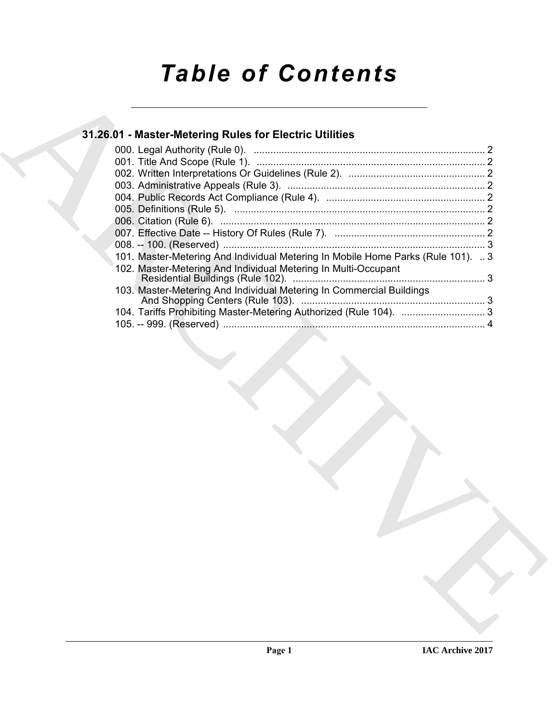# *Table of Contents*

## **31.26.01 - Master-Metering Rules for Electric Utilities**

|  | 31.26.01 - Master-Metering Rules for Electric Utilities                          |  |
|--|----------------------------------------------------------------------------------|--|
|  |                                                                                  |  |
|  |                                                                                  |  |
|  |                                                                                  |  |
|  |                                                                                  |  |
|  |                                                                                  |  |
|  |                                                                                  |  |
|  |                                                                                  |  |
|  |                                                                                  |  |
|  |                                                                                  |  |
|  | 101. Master-Metering And Individual Metering In Mobile Home Parks (Rule 101).  3 |  |
|  | 102. Master-Metering And Individual Metering In Multi-Occupant                   |  |
|  |                                                                                  |  |
|  | 103. Master-Metering And Individual Metering In Commercial Buildings             |  |
|  | 104. Tariffs Prohibiting Master-Metering Authorized (Rule 104).  3               |  |
|  |                                                                                  |  |
|  |                                                                                  |  |
|  |                                                                                  |  |
|  |                                                                                  |  |
|  |                                                                                  |  |
|  |                                                                                  |  |
|  |                                                                                  |  |
|  |                                                                                  |  |
|  |                                                                                  |  |
|  |                                                                                  |  |
|  |                                                                                  |  |
|  |                                                                                  |  |
|  |                                                                                  |  |
|  |                                                                                  |  |
|  |                                                                                  |  |
|  |                                                                                  |  |
|  |                                                                                  |  |
|  |                                                                                  |  |
|  |                                                                                  |  |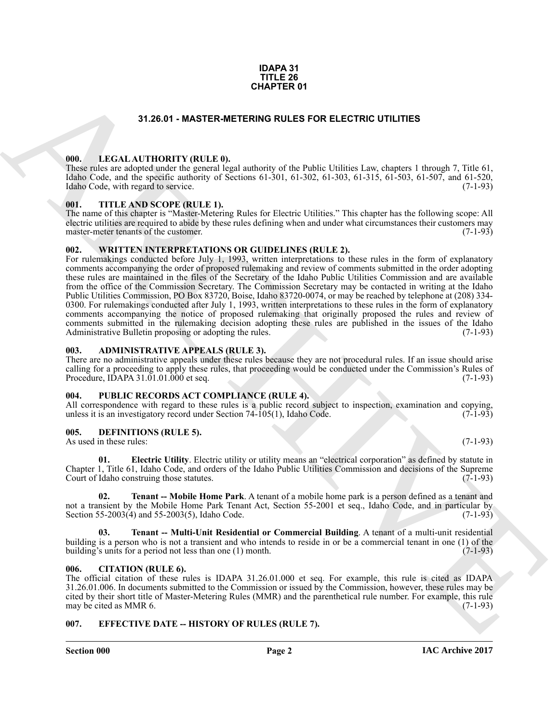#### **IDAPA 31 TITLE 26 CHAPTER 01**

#### **31.26.01 - MASTER-METERING RULES FOR ELECTRIC UTILITIES**

#### <span id="page-1-1"></span><span id="page-1-0"></span>**000. LEGAL AUTHORITY (RULE 0).**

These rules are adopted under the general legal authority of the Public Utilities Law, chapters 1 through 7, Title 61, Idaho Code, and the specific authority of Sections 61-301, 61-302, 61-303, 61-315, 61-503, 61-507, and 61-520, Idaho Code, with regard to service. (7-1-93)

#### <span id="page-1-2"></span>**001. TITLE AND SCOPE (RULE 1).**

The name of this chapter is "Master-Metering Rules for Electric Utilities." This chapter has the following scope: All electric utilities are required to abide by these rules defining when and under what circumstances their customers may master-meter tenants of the customer. (7-1-93) master-meter tenants of the customer.

#### <span id="page-1-3"></span>**002. WRITTEN INTERPRETATIONS OR GUIDELINES (RULE 2).**

**31.26.01 • MASTER METERNO GULES FOR ELECTRIC UTILITIES<br>
1981 • LEGAL ALTHORITY (RULLE)**<br>
1981 • LEGAL ALTHORITY (RULLE)<br>
1982 • LEGAL ALTHORITY (RULLE)<br>
1982 • LEGAL ALTHORITY (RULLE)<br>
1982 • LEGAL ALTHORITY (RULLE)<br>
198 For rulemakings conducted before July 1, 1993, written interpretations to these rules in the form of explanatory comments accompanying the order of proposed rulemaking and review of comments submitted in the order adopting these rules are maintained in the files of the Secretary of the Idaho Public Utilities Commission and are available from the office of the Commission Secretary. The Commission Secretary may be contacted in writing at the Idaho Public Utilities Commission, PO Box 83720, Boise, Idaho 83720-0074, or may be reached by telephone at (208) 334- 0300. For rulemakings conducted after July 1, 1993, written interpretations to these rules in the form of explanatory comments accompanying the notice of proposed rulemaking that originally proposed the rules and review of comments submitted in the rulemaking decision adopting these rules are published in the issues of the Idaho Administrative Bulletin proposing or adopting the rules. (7-1-93) Administrative Bulletin proposing or adopting the rules.

#### <span id="page-1-4"></span>**003. ADMINISTRATIVE APPEALS (RULE 3).**

There are no administrative appeals under these rules because they are not procedural rules. If an issue should arise calling for a proceeding to apply these rules, that proceeding would be conducted under the Commission's Rules of Procedure, IDAPA 31.01.01.000 et seq. (7-1-93)

#### <span id="page-1-5"></span>**004. PUBLIC RECORDS ACT COMPLIANCE (RULE 4).**

All correspondence with regard to these rules is a public record subject to inspection, examination and copying, unless it is an investigatory record under Section 74-105(1). Idaho Code.  $(7-1-93)$ unless it is an investigatory record under Section  $74-105(1)$ , Idaho Code.

#### <span id="page-1-9"></span><span id="page-1-6"></span>**005. DEFINITIONS (RULE 5).**

As used in these rules: (7-1-93)

<span id="page-1-10"></span>**01. Electric Utility**. Electric utility or utility means an "electrical corporation" as defined by statute in Chapter 1, Title 61, Idaho Code, and orders of the Idaho Public Utilities Commission and decisions of the Supreme Court of Idaho construing those statutes. (7-1-93)

<span id="page-1-11"></span>**02. Tenant -- Mobile Home Park**. A tenant of a mobile home park is a person defined as a tenant and not a transient by the Mobile Home Park Tenant Act, Section 55-2001 et seq., Idaho Code, and in particular by Section 55-2003(4) and 55-2003(5), Idaho Code. (7-1-93)

<span id="page-1-12"></span>**03. Tenant -- Multi-Unit Residential or Commercial Building**. A tenant of a multi-unit residential building is a person who is not a transient and who intends to reside in or be a commercial tenant in one (1) of the building's units for a period not less than one (1) month. building's units for a period not less than one  $(1)$  month.

#### <span id="page-1-7"></span>**006. CITATION (RULE 6).**

The official citation of these rules is IDAPA 31.26.01.000 et seq. For example, this rule is cited as IDAPA 31.26.01.006. In documents submitted to the Commission or issued by the Commission, however, these rules may be cited by their short title of Master-Metering Rules (MMR) and the parenthetical rule number. For example, this rule may be cited as MMR 6.

#### <span id="page-1-8"></span>**007. EFFECTIVE DATE -- HISTORY OF RULES (RULE 7).**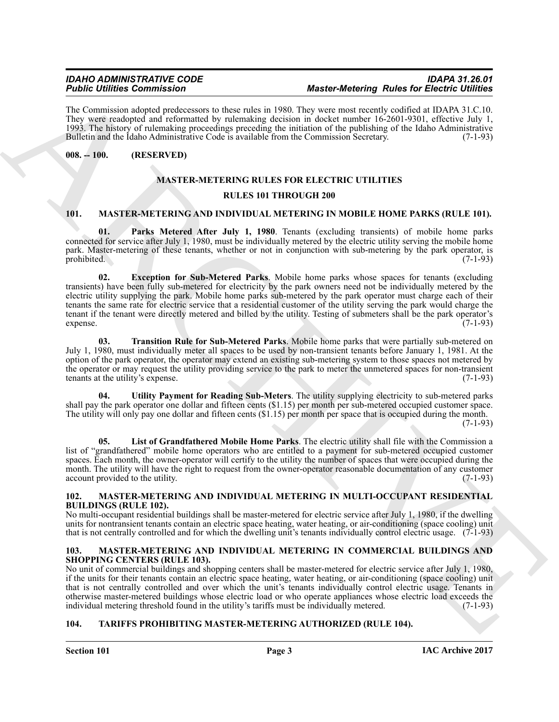The Commission adopted predecessors to these rules in 1980. They were most recently codified at IDAPA 31.C.10. They were readopted and reformatted by rulemaking decision in docket number 16-2601-9301, effective July 1, 1993. The history of rulemaking proceedings preceding the initiation of the publishing of the Idaho Administrative Bulletin and the Idaho Administrative Code is available from the Commission Secretary. (7-1-93)

#### <span id="page-2-0"></span>**008. -- 100. (RESERVED)**

### <span id="page-2-9"></span>**MASTER-METERING RULES FOR ELECTRIC UTILITIES RULES 101 THROUGH 200**

#### <span id="page-2-6"></span><span id="page-2-1"></span>**101. MASTER-METERING AND INDIVIDUAL METERING IN MOBILE HOME PARKS (RULE 101).**

<span id="page-2-7"></span>**01. Parks Metered After July 1, 1980**. Tenants (excluding transients) of mobile home parks connected for service after July 1, 1980, must be individually metered by the electric utility serving the mobile home park. Master-metering of these tenants, whether or not in conjunction with sub-metering by the park operator, is prohibited. (7-1-93) prohibited. (7-1-93)

For Communication Communication Communication (Expression and the three communication and the second of the second of the second of the second of the second of the second of the second of the second of the second of the s **02. Exception for Sub-Metered Parks**. Mobile home parks whose spaces for tenants (excluding transients) have been fully sub-metered for electricity by the park owners need not be individually metered by the electric utility supplying the park. Mobile home parks sub-metered by the park operator must charge each of their tenants the same rate for electric service that a residential customer of the utility serving the park would charge the tenant if the tenant were directly metered and billed by the utility. Testing of submeters shall be the park operator's expense. (7-1-93)

<span id="page-2-10"></span>**03. Transition Rule for Sub-Metered Parks**. Mobile home parks that were partially sub-metered on July 1, 1980, must individually meter all spaces to be used by non-transient tenants before January 1, 1981. At the option of the park operator, the operator may extend an existing sub-metering system to those spaces not metered by the operator or may request the utility providing service to the park to meter the unmetered spaces for non-transient tenants at the utility's expense. (7-1-93)

<span id="page-2-11"></span>**04. Utility Payment for Reading Sub-Meters**. The utility supplying electricity to sub-metered parks shall pay the park operator one dollar and fifteen cents (\$1.15) per month per sub-metered occupied customer space. The utility will only pay one dollar and fifteen cents (\$1.15) per month per space that is occupied during the month.

 $(7-1-93)$ 

<span id="page-2-8"></span>**05. List of Grandfathered Mobile Home Parks**. The electric utility shall file with the Commission a list of "grandfathered" mobile home operators who are entitled to a payment for sub-metered occupied customer spaces. Each month, the owner-operator will certify to the utility the number of spaces that were occupied during the month. The utility will have the right to request from the owner-operator reasonable documentation of any customer account provided to the utility. (7-1-93)

#### <span id="page-2-12"></span><span id="page-2-2"></span>**102. MASTER-METERING AND INDIVIDUAL METERING IN MULTI-OCCUPANT RESIDENTIAL BUILDINGS (RULE 102).**

No multi-occupant residential buildings shall be master-metered for electric service after July 1, 1980, if the dwelling units for nontransient tenants contain an electric space heating, water heating, or air-conditioning (space cooling) unit that is not centrally controlled and for which the dwelling unit's tenants individually control electric usage. (7-1-93)

#### <span id="page-2-5"></span><span id="page-2-3"></span>**103. MASTER-METERING AND INDIVIDUAL METERING IN COMMERCIAL BUILDINGS AND SHOPPING CENTERS (RULE 103).**

No unit of commercial buildings and shopping centers shall be master-metered for electric service after July 1, 1980, if the units for their tenants contain an electric space heating, water heating, or air-conditioning (space cooling) unit that is not centrally controlled and over which the unit's tenants individually control electric usage. Tenants in otherwise master-metered buildings whose electric load or who operate appliances whose electric load exceeds the individual metering threshold found in the utility's tariffs must be individually metered.

#### <span id="page-2-13"></span><span id="page-2-4"></span>**104. TARIFFS PROHIBITING MASTER-METERING AUTHORIZED (RULE 104).**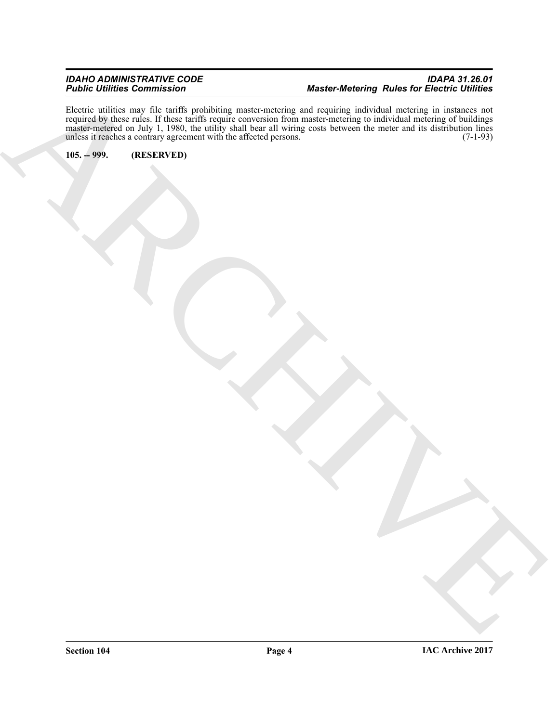ARCHIVE Electric utilities may file tariffs prohibiting master-metering and requiring individual metering in instances not required by these rules. If these tariffs require conversion from master-metering to individual metering of buildings master-metered on July 1, 1980, the utility shall bear all wiring costs between the meter and its distribution lines unless it reaches a contrary agreement with the affected persons. (7-1-93) unless it reaches a contrary agreement with the affected persons.

<span id="page-3-0"></span>**105. -- 999. (RESERVED)**